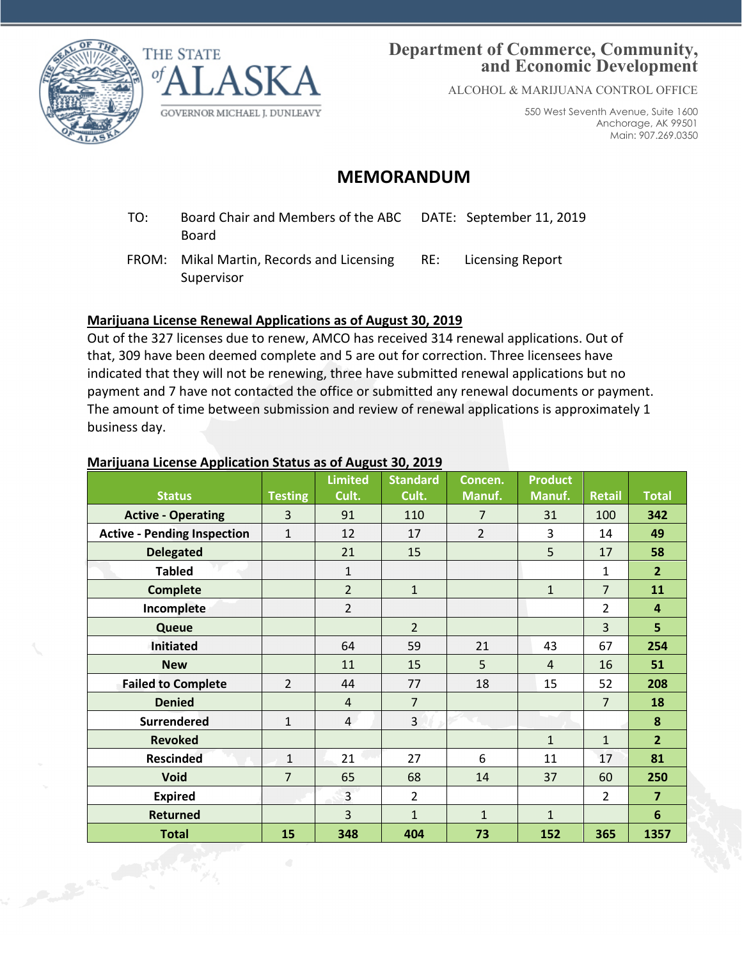



## **Department of Commerce, Community, and Economic Development**

ALCOHOL & MARIJUANA CONTROL OFFICE

550 West Seventh Avenue, Suite 1600 Anchorage, AK 99501 Main: 907.269.0350

# **MEMORANDUM**

- TO: Board Chair and Members of the ABC Board DATE: September 11, 2019
- FROM: Mikal Martin, Records and Licensing Supervisor RE: Licensing Report

### **Marijuana License Renewal Applications as of August 30, 2019**

Out of the 327 licenses due to renew, AMCO has received 314 renewal applications. Out of that, 309 have been deemed complete and 5 are out for correction. Three licensees have indicated that they will not be renewing, three have submitted renewal applications but no payment and 7 have not contacted the office or submitted any renewal documents or payment. The amount of time between submission and review of renewal applications is approximately 1 business day.

#### **Marijuana License Application Status as of August 30, 2019**

|                                    |                | <b>Limited</b> | <b>Standard</b> | Concen.        | <b>Product</b> |                |                 |
|------------------------------------|----------------|----------------|-----------------|----------------|----------------|----------------|-----------------|
| <b>Status</b>                      | <b>Testing</b> | Cult.          | Cult.           | Manuf.         | Manuf.         | <b>Retail</b>  | <b>Total</b>    |
| <b>Active - Operating</b>          | 3              | 91             | 110             | 7              | 31             | 100            | 342             |
| <b>Active - Pending Inspection</b> | $\mathbf{1}$   | 12             | 17              | $\overline{2}$ | 3              | 14             | 49              |
| <b>Delegated</b>                   |                | 21             | 15              |                | 5              | 17             | 58              |
| <b>Tabled</b>                      |                | $\mathbf{1}$   |                 |                |                | 1              | 2 <sup>2</sup>  |
| <b>Complete</b>                    |                | $\overline{2}$ | $\mathbf{1}$    |                | $\mathbf{1}$   | $\overline{7}$ | 11              |
| Incomplete                         |                | $\overline{2}$ |                 |                |                | $\overline{2}$ | 4               |
| Queue                              |                |                | $\overline{2}$  |                |                | 3              | 5               |
| <b>Initiated</b>                   |                | 64             | 59              | 21             | 43             | 67             | 254             |
| <b>New</b>                         |                | 11             | 15              | 5              | $\overline{4}$ | 16             | 51              |
| <b>Failed to Complete</b>          | $\overline{2}$ | 44             | 77              | 18             | 15             | 52             | 208             |
| <b>Denied</b>                      |                | $\overline{4}$ | $\overline{7}$  |                |                | $\overline{7}$ | 18              |
| <b>Surrendered</b>                 | $\mathbf{1}$   | $\overline{4}$ | $\overline{3}$  |                |                |                | 8               |
| <b>Revoked</b>                     |                |                |                 |                | $\mathbf{1}$   | $\mathbf{1}$   | $\overline{2}$  |
| <b>Rescinded</b>                   | $\mathbf{1}$   | 21             | 27              | 6              | 11             | 17             | 81              |
| <b>Void</b>                        | $\overline{7}$ | 65             | 68              | 14             | 37             | 60             | 250             |
| <b>Expired</b>                     |                | 3              | $\overline{2}$  |                |                | 2              | $\overline{7}$  |
| <b>Returned</b>                    |                | 3              | $\mathbf{1}$    | $\mathbf{1}$   | $\mathbf{1}$   |                | $6\phantom{1}6$ |
| <b>Total</b>                       | 15             | 348            | 404             | 73             | 152            | 365            | 1357            |